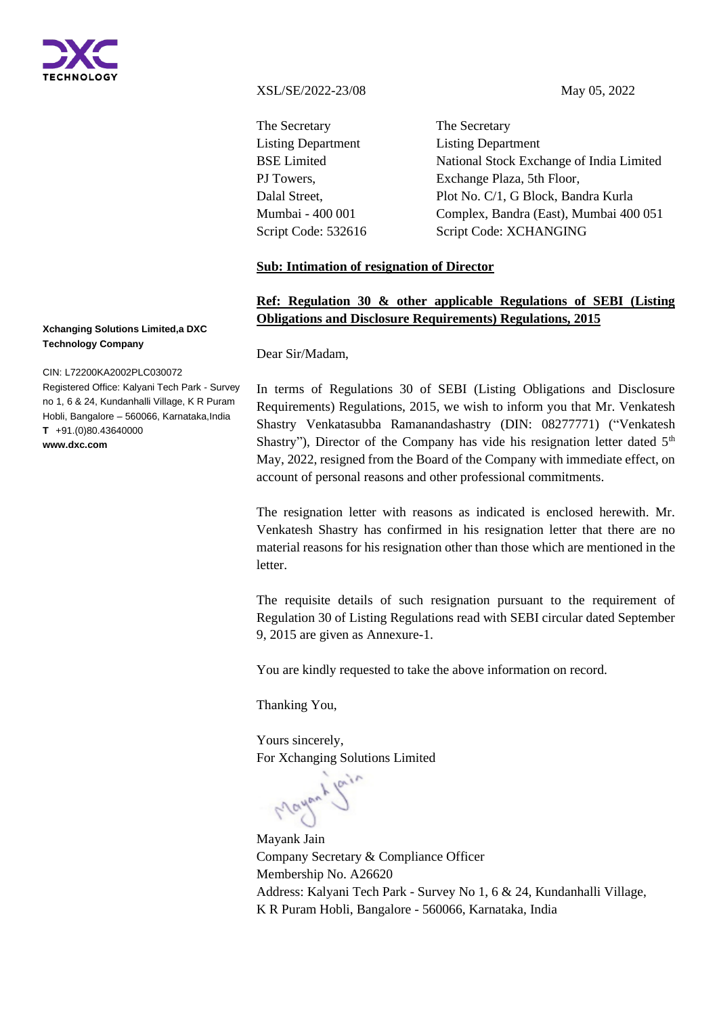

XSL/SE/2022-23/08 May 05, 2022

The Secretary Listing Department BSE Limited PJ Towers, Dalal Street, Mumbai - 400 001 Script Code: 532616

The Secretary Listing Department National Stock Exchange of India Limited Exchange Plaza, 5th Floor, Plot No. C/1, G Block, Bandra Kurla Complex, Bandra (East), Mumbai 400 051 Script Code: XCHANGING

## **Sub: Intimation of resignation of Director**

# **Ref: Regulation 30 & other applicable Regulations of SEBI (Listing Obligations and Disclosure Requirements) Regulations, 2015**

Dear Sir/Madam,

In terms of Regulations 30 of SEBI (Listing Obligations and Disclosure Requirements) Regulations, 2015, we wish to inform you that Mr. Venkatesh Shastry Venkatasubba Ramanandashastry (DIN: 08277771) ("Venkatesh Shastry"), Director of the Company has vide his resignation letter dated  $5<sup>th</sup>$ May, 2022, resigned from the Board of the Company with immediate effect, on account of personal reasons and other professional commitments.

The resignation letter with reasons as indicated is enclosed herewith. Mr. Venkatesh Shastry has confirmed in his resignation letter that there are no material reasons for his resignation other than those which are mentioned in the letter.

The requisite details of such resignation pursuant to the requirement of Regulation 30 of Listing Regulations read with SEBI circular dated September 9, 2015 are given as Annexure-1.

You are kindly requested to take the above information on record.

Thanking You,

Yours sincerely, For Xchanging Solutions Limited

Mayontle

Mayank Jain Company Secretary & Compliance Officer Membership No. A26620 Address: Kalyani Tech Park - Survey No 1, 6 & 24, Kundanhalli Village, K R Puram Hobli, Bangalore - 560066, Karnataka, India

#### **Xchanging Solutions Limited,a DXC Technology Company**

CIN: L72200KA2002PLC030072

Registered Office: Kalyani Tech Park - Survey no 1, 6 & 24, Kundanhalli Village, K R Puram Hobli, Bangalore – 560066, Karnataka,India **T** +91.(0)80.43640000 **www.dxc.com**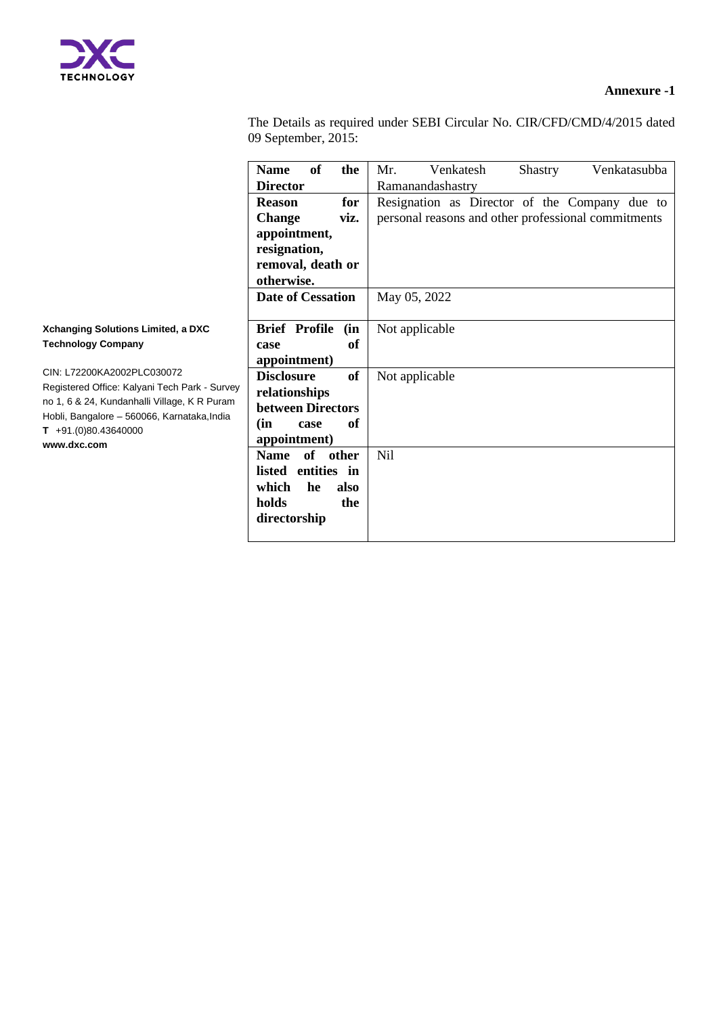

## **Annexure -1**

The Details as required under SEBI Circular No. CIR/CFD/CMD/4/2015 dated 09 September, 2015:

|                                                                                                                                                                                                                                                                                                | <b>Name</b>                                                                    | of             | the              | Mr.                                                 | Venkatesh        | <b>Shastry</b> | Venkatasubba |
|------------------------------------------------------------------------------------------------------------------------------------------------------------------------------------------------------------------------------------------------------------------------------------------------|--------------------------------------------------------------------------------|----------------|------------------|-----------------------------------------------------|------------------|----------------|--------------|
|                                                                                                                                                                                                                                                                                                | <b>Director</b>                                                                |                |                  |                                                     | Ramanandashastry |                |              |
|                                                                                                                                                                                                                                                                                                | <b>Reason</b><br><b>Change</b>                                                 |                | for              | Resignation as Director of the Company due to       |                  |                |              |
|                                                                                                                                                                                                                                                                                                |                                                                                |                | viz.             | personal reasons and other professional commitments |                  |                |              |
|                                                                                                                                                                                                                                                                                                | appointment,<br>resignation,<br>removal, death or<br>otherwise.                |                |                  |                                                     |                  |                |              |
|                                                                                                                                                                                                                                                                                                | <b>Date of Cessation</b>                                                       |                |                  | May 05, 2022                                        |                  |                |              |
| <b>Xchanging Solutions Limited, a DXC</b><br><b>Technology Company</b><br>CIN: L72200KA2002PLC030072<br>Registered Office: Kalyani Tech Park - Survey<br>no 1, 6 & 24, Kundanhalli Village, K R Puram<br>Hobli, Bangalore - 560066, Karnataka, India<br>$T + 91.(0)80.43640000$<br>www.dxc.com | <b>Brief Profile</b><br>case<br>appointment)                                   |                | (in<br><b>of</b> |                                                     | Not applicable   |                |              |
|                                                                                                                                                                                                                                                                                                | <b>Disclosure</b><br>relationships<br>between Directors<br>(in<br>appointment) | case           | of<br>of         |                                                     | Not applicable   |                |              |
|                                                                                                                                                                                                                                                                                                | <b>Name</b><br>listed entities in<br>which<br>holds<br>directorship            | of other<br>he | also<br>the      | <b>Nil</b>                                          |                  |                |              |